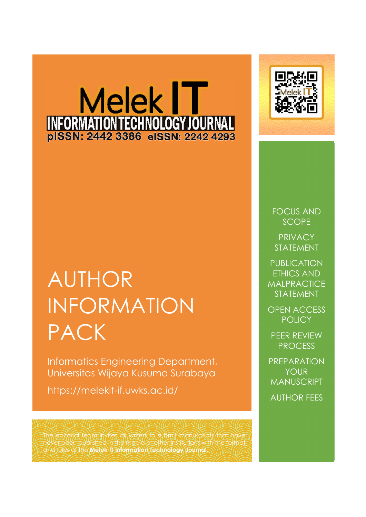# Melek IT INFORMATION TECHNOLOGY JOURNAL



Informatics Engineering Department, Universitas Wijaya Kusuma Surabaya

https://melekit-if.uwks.ac.id/

The editorial team invites all writers to submit manuscripts that have never been published in the media or other institutions with the format and rules of the **Melek IT Information Technology Journal**.



FOCUS AND **SCOPE** 

**PRIVACY** STATEMENT

PUBLICATION ETHICS AND **MALPRACTICE** STATEMENT

OPEN ACCESS **POLICY** 

PEER REVIEW PROCESS

PREPARATION YOUR MANUSCRIPT AUTHOR FEES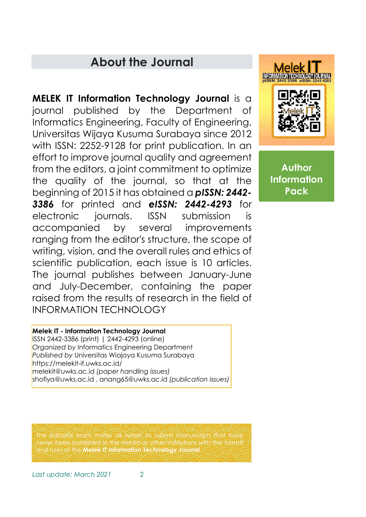# **About the Journal**

**MELEK IT Information Technology Journal** is a journal published by the Department of Informatics Engineering, Faculty of Engineering, Universitas Wijaya Kusuma Surabaya since 2012 with ISSN: 2252-9128 for print publication. In an effort to improve journal quality and agreement from the editors, a joint commitment to optimize the quality of the journal, so that at the beginning of 2015 it has obtained a *pISSN: 2442- 3386* for printed and *eISSN: 2442-4293* for electronic journals. ISSN submission is accompanied by several improvements ranging from the editor's structure, the scope of writing, vision, and the overall rules and ethics of scientific publication, each issue is 10 articles. The journal publishes between January-June and July-December, containing the paper raised from the results of research in the field of INFORMATION TECHNOLOGY

**Melek INFORMATION TECHNOLOGY JO** 

> **Author Information Pack**

**Melek IT - Information Technology Journal**

ISSN 2442-3386 (print) | 2442-4293 (online) *Organized by* Informatics Engineering Department *Published by* Universitas Wiajaya Kusuma Surabaya https://melekit-if.uwks.ac.id/ melekit@uwks.ac.id *(paper handling issues)* shofiya@uwks.ac.id , anang65@uwks.ac.id *(publication issues)*

The editorial team invites all writers to submit manuscripts that have never been published in the media or other institutions with the format and rules of the **Melek IT Information Technology Journal**.

*Last update: March 2021* 2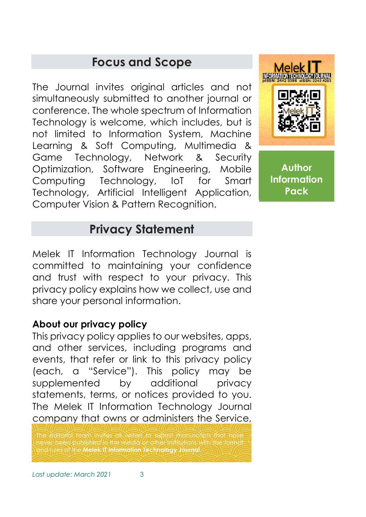# **Focus and Scope**

The Journal invites original articles and not simultaneously submitted to another journal or conference. The whole spectrum of Information Technology is welcome, which includes, but is not limited to Information System, Machine Learning & Soft Computing, Multimedia & Game Technology, Network & Security Optimization, Software Engineering, Mobile Computing Technology, IoT for Smart Technology, Artificial Intelligent Application, Computer Vision & Pattern Recognition.



**Author Information Pack**

# **Privacy Statement**

Melek IT Information Technology Journal is committed to maintaining your confidence and trust with respect to your privacy. This privacy policy explains how we collect, use and share your personal information.

#### **About our privacy policy**

This privacy policy applies to our websites, apps, and other services, including programs and events, that refer or link to this privacy policy (each, a "Service"). This policy may be supplemented by additional privacy statements, terms, or notices provided to you. The Melek IT Information Technology Journal company that owns or administers the Service,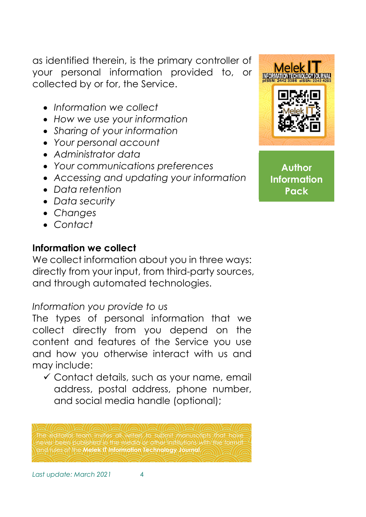as identified therein, is the primary controller of your personal information provided to, or collected by or for, the Service.

- *Information we collect*
- *How we use your information*
- *Sharing of your information*
- *Your personal account*
- *Administrator data*
- *Your communications preferences*
- *Accessing and updating your information*
- *Data retention*
- *Data security*
- *Changes*
- *Contact*

## **Information we collect**

We collect information about you in three ways: directly from your input, from third-party sources, and through automated technologies.

# *Information you provide to us*

The types of personal information that we collect directly from you depend on the content and features of the Service you use and how you otherwise interact with us and may include:

 Contact details, such as your name, email address, postal address, phone number, and social media handle (optional);

The editorial team invites all writers to submit manuscripts that have never been published in the media or other institutions with the format and rules of the **Melek IT Information Technology Journal**.

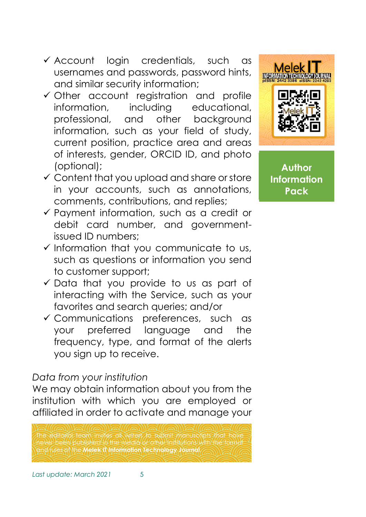- $\checkmark$  Account login credentials, such as usernames and passwords, password hints, and similar security information;
- $\checkmark$  Other account registration and profile information, including educational, professional, and other background information, such as your field of study, current position, practice area and areas of interests, gender, ORCID ID, and photo (optional);
- Content that you upload and share or store in your accounts, such as annotations, comments, contributions, and replies;
- Payment information, such as a credit or debit card number, and governmentissued ID numbers;
- $\checkmark$  Information that you communicate to us, such as questions or information you send to customer support;
- $\checkmark$  Data that you provide to us as part of interacting with the Service, such as your favorites and search queries; and/or
- Communications preferences, such as your preferred language and the frequency, type, and format of the alerts you sign up to receive.

## *Data from your institution*

We may obtain information about you from the institution with which you are employed or affiliated in order to activate and manage your





**Author Information Pack**

*Last update: March 2021* 5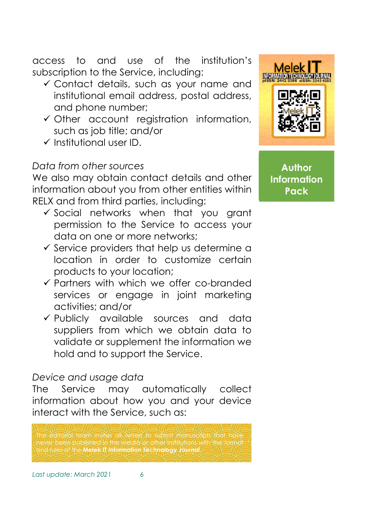access to and use of the institution's subscription to the Service, including:

- Contact details, such as your name and institutional email address, postal address, and phone number;
- Other account registration information, such as job title; and/or
- $\checkmark$  Institutional user ID.

# *Data from other sources*

We also may obtain contact details and other information about you from other entities within RELX and from third parties, including:

- $\checkmark$  Social networks when that you grant permission to the Service to access your data on one or more networks;
- $\checkmark$  Service providers that help us determine a location in order to customize certain products to your location;
- $\checkmark$  Partners with which we offer co-branded services or engage in joint marketing activities; and/or
- Publicly available sources and data suppliers from which we obtain data to validate or supplement the information we hold and to support the Service.

## *Device and usage data*

The Service may automatically collect information about how you and your device interact with the Service, such as:

he editorial team invites all writers to submit manuscripts that have never been published in the media or other institutions with the format and rules of the **Melek IT Information Technology Journal**.

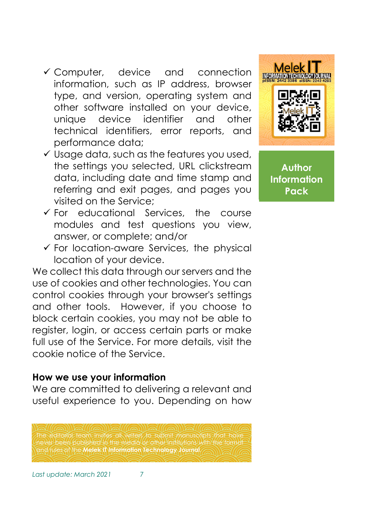- Computer, device and connection information, such as IP address, browser type, and version, operating system and other software installed on your device, unique device identifier and other technical identifiers, error reports, and performance data;
- $\checkmark$  Usage data, such as the features you used, the settings you selected, URL clickstream data, including date and time stamp and referring and exit pages, and pages you visited on the Service;
- For educational Services, the course modules and test questions you view, answer, or complete; and/or
- $\checkmark$  For location-aware Services, the physical location of your device.

We collect this data through our servers and the use of cookies and other technologies. You can control cookies through your browser's settings and other tools. However, if you choose to block certain cookies, you may not be able to register, login, or access certain parts or make full use of the Service. For more details, visit the cookie notice of the Service.

#### **How we use your information**

We are committed to delivering a relevant and useful experience to you. Depending on how

The editorial team invites all writers to submit manuscripts that have never been published in the media or other institutions with the format and rules of the **Melek IT Information Technology Journal**.



**Author Information Pack**

*Last update: March 2021* 7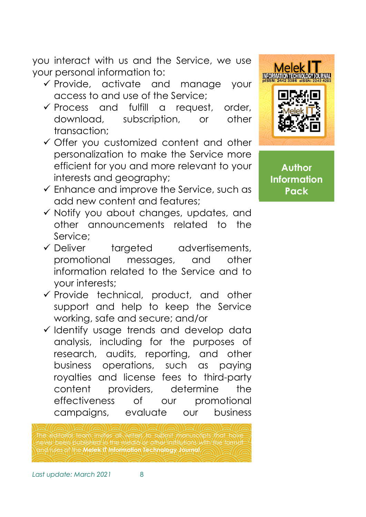you interact with us and the Service, we use your personal information to:

- $\checkmark$  Provide, activate and manage your access to and use of the Service;
- Process and fulfill a request, order, download, subscription, or other transaction;
- $\checkmark$  Offer you customized content and other personalization to make the Service more efficient for you and more relevant to your interests and geography;
- $\checkmark$  Enhance and improve the Service, such as add new content and features;
- $\checkmark$  Notify you about changes, updates, and other announcements related to the Service;
- $\checkmark$  Deliver targeted advertisements, promotional messages, and other information related to the Service and to your interests;
- $\checkmark$  Provide technical, product, and other support and help to keep the Service working, safe and secure; and/or
- $\checkmark$  Identify usage trends and develop data analysis, including for the purposes of research, audits, reporting, and other business operations, such as paying royalties and license fees to third-party content providers, determine the effectiveness of our promotional campaigns, evaluate our business

The editorial team invites all writers to submit manuscripts that have never been published in the media or other institutions with the format and rules of the **Melek IT Information Technology Journal**.

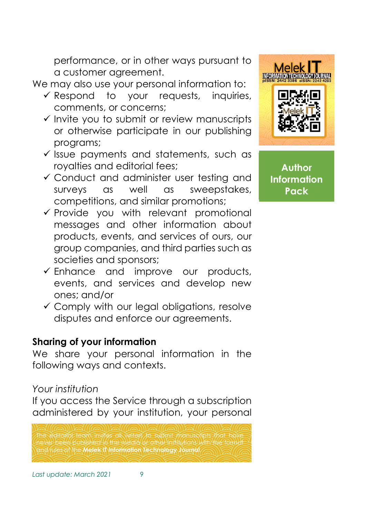performance, or in other ways pursuant to a customer agreement.

We may also use your personal information to:

- $\checkmark$  Respond to your requests, inquiries, comments, or concerns;
- $\checkmark$  Invite you to submit or review manuscripts or otherwise participate in our publishing programs;
- $\checkmark$  issue payments and statements, such as royalties and editorial fees;
- Conduct and administer user testing and surveys as well as sweepstakes, competitions, and similar promotions;
- $\checkmark$  Provide you with relevant promotional messages and other information about products, events, and services of ours, our group companies, and third parties such as societies and sponsors;
- $\checkmark$  Enhance and improve our products, events, and services and develop new ones; and/or
- $\checkmark$  Comply with our legal obligations, resolve disputes and enforce our agreements.

# **Sharing of your information**

We share your personal information in the following ways and contexts.

## *Your institution*

If you access the Service through a subscription administered by your institution, your personal

The editorial team invites all writers to submit manuscripts that have never been published in the media or other institutions with the format and rules of the **Melek IT Information Technology Journal**.

*Last update: March 2021* 9

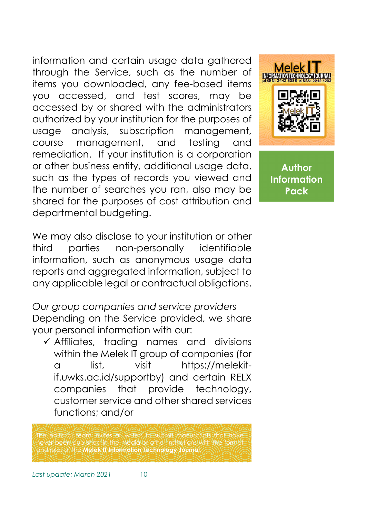information and certain usage data gathered through the Service, such as the number of items you downloaded, any fee-based items you accessed, and test scores, may be accessed by or shared with the administrators authorized by your institution for the purposes of usage analysis, subscription management, course management, and testing and remediation. If your institution is a corporation or other business entity, additional usage data, such as the types of records you viewed and the number of searches you ran, also may be shared for the purposes of cost attribution and departmental budgeting.



**Author Information Pack**

We may also disclose to your institution or other third parties non-personally identifiable information, such as anonymous usage data reports and aggregated information, subject to any applicable legal or contractual obligations.

*Our group companies and service providers* Depending on the Service provided, we share your personal information with our:

 $\checkmark$  Affiliates, trading names and divisions within the Melek IT group of companies (for a list, visit https://melekitif.uwks.ac.id/supportby) and certain RELX companies that provide technology, customer service and other shared services functions; and/or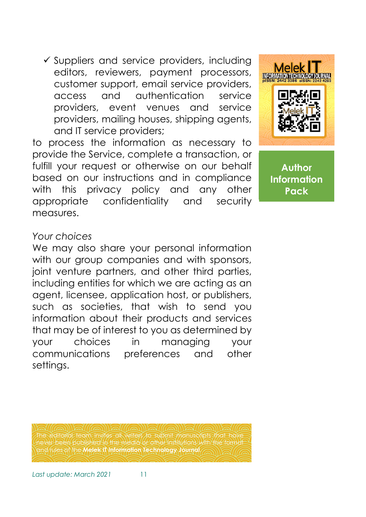$\checkmark$  Suppliers and service providers, including editors, reviewers, payment processors, customer support, email service providers, access and authentication service providers, event venues and service providers, mailing houses, shipping agents, and IT service providers;

to process the information as necessary to provide the Service, complete a transaction, or fulfill your request or otherwise on our behalf based on our instructions and in compliance with this privacy policy and any other appropriate confidentiality and security measures.



**Author Information Pack**

#### *Your choices*

We may also share your personal information with our group companies and with sponsors, joint venture partners, and other third parties, including entities for which we are acting as an agent, licensee, application host, or publishers, such as societies, that wish to send you information about their products and services that may be of interest to you as determined by your choices in managing your communications preferences and other settings.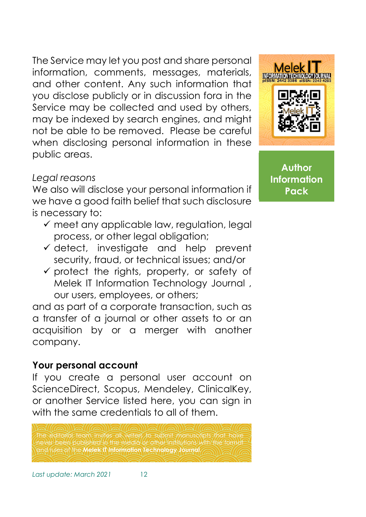The Service may let you post and share personal information, comments, messages, materials, and other content. Any such information that you disclose publicly or in discussion fora in the Service may be collected and used by others, may be indexed by search engines, and might not be able to be removed. Please be careful when disclosing personal information in these public areas.

#### *Legal reasons*

We also will disclose your personal information if we have a good faith belief that such disclosure is necessary to:

- $\checkmark$  meet any applicable law, regulation, legal process, or other legal obligation;
- $\checkmark$  detect, investigate and help prevent security, fraud, or technical issues; and/or
- $\checkmark$  protect the rights, property, or safety of Melek IT Information Technology Journal , our users, employees, or others;

and as part of a corporate transaction, such as a transfer of a journal or other assets to or an acquisition by or a merger with another company.

## **Your personal account**

If you create a personal user account on ScienceDirect, Scopus, Mendeley, ClinicalKey, or another Service listed here, you can sign in with the same credentials to all of them.

The editorial team invites all writers to submit manuscripts that have never been published in the media or other institutions with the format and rules of the **Melek IT Information Technology Journal**.

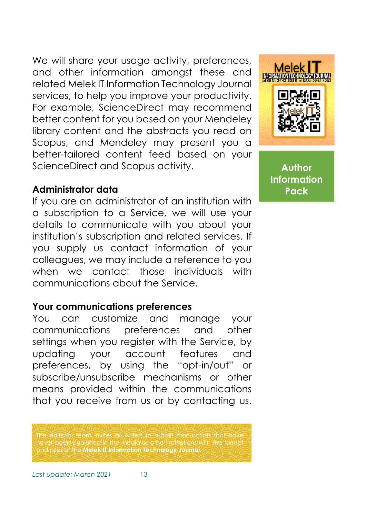We will share your usage activity, preferences, and other information amongst these and related Melek IT Information Technology Journal services, to help you improve your productivity. For example, ScienceDirect may recommend better content for you based on your Mendeley library content and the abstracts you read on Scopus, and Mendeley may present you a better-tailored content feed based on your ScienceDirect and Scopus activity.

#### **Administrator data**

If you are an administrator of an institution with a subscription to a Service, we will use your details to communicate with you about your institution's subscription and related services. If you supply us contact information of your colleagues, we may include a reference to you when we contact those individuals with communications about the Service.

## **Your communications preferences**

You can customize and manage your communications preferences and other settings when you register with the Service, by updating your account features and preferences, by using the "opt-in/out" or subscribe/unsubscribe mechanisms or other means provided within the communications that you receive from us or by contacting us.

The editorial team invites all writers to submit manuscripts that have never been published in the media or other institutions with the format and rules of the **Melek IT Information Technology Journal**.

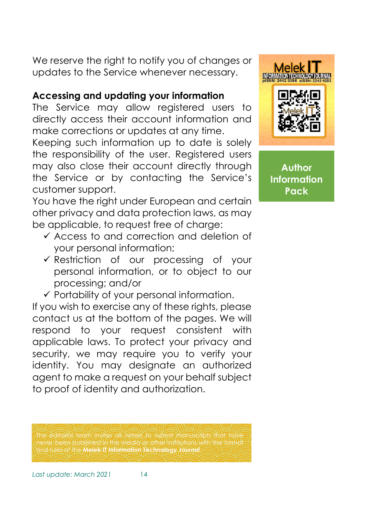We reserve the right to notify you of changes or updates to the Service whenever necessary.

## **Accessing and updating your information**

The Service may allow registered users to directly access their account information and make corrections or updates at any time.

Keeping such information up to date is solely the responsibility of the user. Registered users may also close their account directly through the Service or by contacting the Service's customer support.

You have the right under European and certain other privacy and data protection laws, as may be applicable, to request free of charge:

- $\checkmark$  Access to and correction and deletion of your personal information;
- Restriction of our processing of your personal information, or to object to our processing; and/or
- $\checkmark$  Portability of your personal information.

If you wish to exercise any of these rights, please contact us at the bottom of the pages. We will respond to your request consistent with applicable laws. To protect your privacy and security, we may require you to verify your identity. You may designate an authorized agent to make a request on your behalf subject to proof of identity and authorization.

The editorial team invites all writers to submit manuscripts that have never been published in the media or other institutions with the format and rules of the **Melek IT Information Technology Journal**.

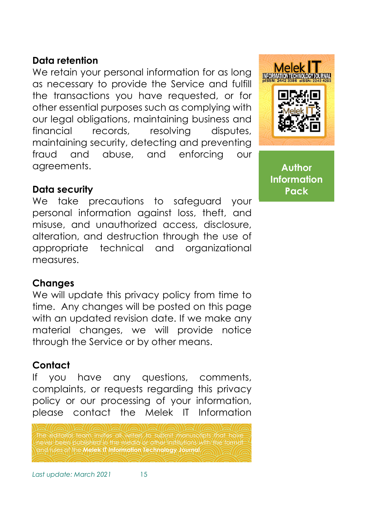#### **Data retention**

We retain your personal information for as long as necessary to provide the Service and fulfill the transactions you have requested, or for other essential purposes such as complying with our legal obligations, maintaining business and financial records, resolving disputes, maintaining security, detecting and preventing fraud and abuse, and enforcing our agreements.

#### **Data security**

We take precautions to safeguard your personal information against loss, theft, and misuse, and unauthorized access, disclosure, alteration, and destruction through the use of appropriate technical and organizational measures.

#### **Changes**

We will update this privacy policy from time to time. Any changes will be posted on this page with an updated revision date. If we make any material changes, we will provide notice through the Service or by other means.

## **Contact**

If you have any questions, comments, complaints, or requests regarding this privacy policy or our processing of your information, please contact the Melek IT Information

The editorial team invites all writers to submit manuscripts that have never been published in the media or other institutions with the format and rules of the **Melek IT Information Technology Journal**.

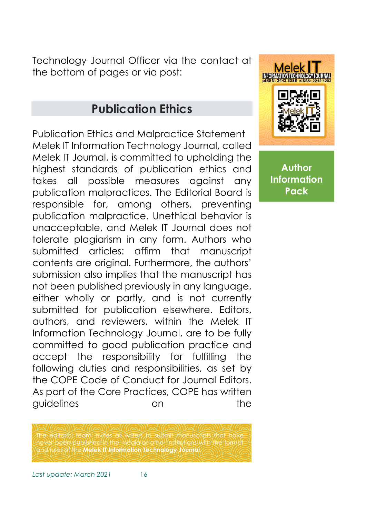Technology Journal Officer via the contact at the bottom of pages or via post:

# **Publication Ethics**

Publication Ethics and Malpractice Statement Melek IT Information Technology Journal, called Melek IT Journal, is committed to upholding the highest standards of publication ethics and takes all possible measures against any publication malpractices. The Editorial Board is responsible for, among others, preventing publication malpractice. Unethical behavior is unacceptable, and Melek IT Journal does not tolerate plagiarism in any form. Authors who submitted articles: affirm that manuscript contents are original. Furthermore, the authors' submission also implies that the manuscript has not been published previously in any language, either wholly or partly, and is not currently submitted for publication elsewhere. Editors, authors, and reviewers, within the Melek IT Information Technology Journal, are to be fully committed to good publication practice and accept the responsibility for fulfilling the following duties and responsibilities, as set by the COPE Code of Conduct for Journal Editors. As part of the Core Practices, COPE has written guidelines on the

The editorial team invites all writers to submit manuscripts that have never been published in the media or other institutions with the format

and rules of the **Melek IT Information Technology Journal**.



**Author Information Pack**

*Last update: March 2021* 16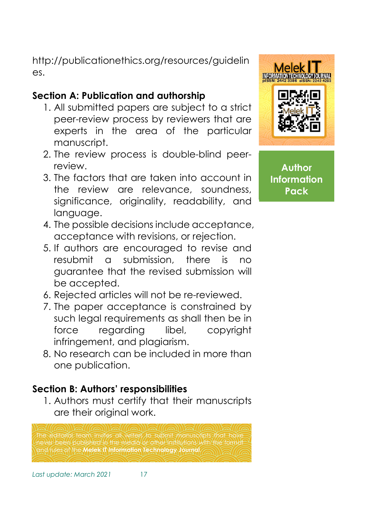http://publicationethics.org/resources/guidelin es.

# **Section A: Publication and authorship**

- 1. All submitted papers are subject to a strict peer-review process by reviewers that are experts in the area of the particular manuscript.
- 2. The review process is double-blind peerreview.
- 3. The factors that are taken into account in the review are relevance, soundness, significance, originality, readability, and language.
- 4. The possible decisions include acceptance, acceptance with revisions, or rejection.
- 5. If authors are encouraged to revise and resubmit a submission, there is no guarantee that the revised submission will be accepted.
- 6. Rejected articles will not be re-reviewed.
- 7. The paper acceptance is constrained by such legal requirements as shall then be in force regarding libel, copyright infringement, and plagiarism.
- 8. No research can be included in more than one publication.

# **Section B: Authors' responsibilities**

1. Authors must certify that their manuscripts are their original work.

Techtorial team invites all writers to submit manuscripts that has never been published in the media or other institutions with the format and rules of the **Melek IT Information Technology Journal**.

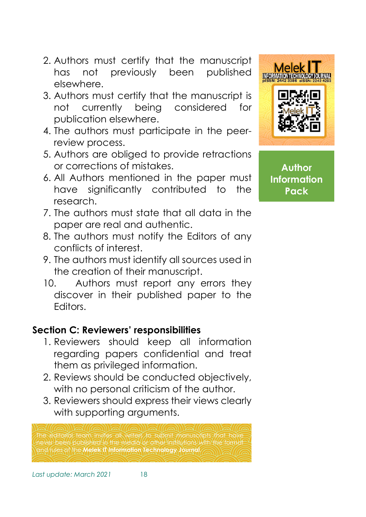- 2. Authors must certify that the manuscript has not previously been published elsewhere.
- 3. Authors must certify that the manuscript is not currently being considered for publication elsewhere.
- 4. The authors must participate in the peerreview process.
- 5. Authors are obliged to provide retractions or corrections of mistakes.
- 6. All Authors mentioned in the paper must have significantly contributed to the research.
- 7. The authors must state that all data in the paper are real and authentic.
- 8. The authors must notify the Editors of any conflicts of interest.
- 9. The authors must identify all sources used in the creation of their manuscript.
- 10. Authors must report any errors they discover in their published paper to the Editors.

# **Section C: Reviewers' responsibilities**

- 1. Reviewers should keep all information regarding papers confidential and treat them as privileged information.
- 2. Reviews should be conducted objectively, with no personal criticism of the author.
- 3. Reviewers should express their views clearly with supporting arguments.

he editorial team invites all writers to submit manuscripts that have never been published in the media or other institutions with the format and rules of the **Melek IT Information Technology Journal**.

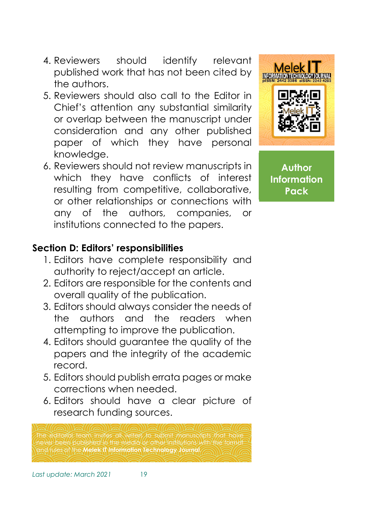- 4. Reviewers should identify relevant published work that has not been cited by the authors.
- 5. Reviewers should also call to the Editor in Chief's attention any substantial similarity or overlap between the manuscript under consideration and any other published paper of which they have personal knowledge.
- 6. Reviewers should not review manuscripts in which they have conflicts of interest resulting from competitive, collaborative, or other relationships or connections with any of the authors, companies, or institutions connected to the papers.



**Author Information Pack**

## **Section D: Editors' responsibilities**

- 1. Editors have complete responsibility and authority to reject/accept an article.
- 2. Editors are responsible for the contents and overall quality of the publication.
- 3. Editors should always consider the needs of the authors and the readers when attempting to improve the publication.
- 4. Editors should guarantee the quality of the papers and the integrity of the academic record.
- 5. Editors should publish errata pages or make corrections when needed.
- 6. Editors should have a clear picture of research funding sources.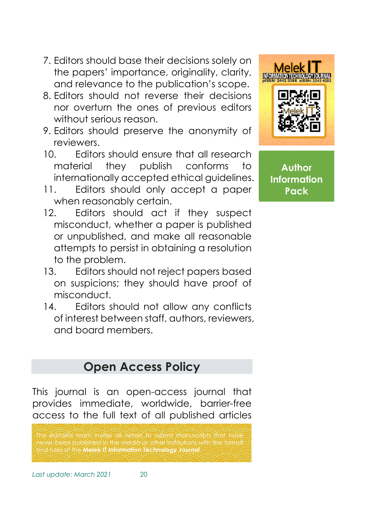- 7. Editors should base their decisions solely on the papers' importance, originality, clarity, and relevance to the publication's scope.
- 8. Editors should not reverse their decisions nor overturn the ones of previous editors without serious reason.
- 9. Editors should preserve the anonymity of reviewers.
- 10. Editors should ensure that all research material they publish conforms to internationally accepted ethical guidelines.
- 11. Editors should only accept a paper when reasonably certain.
- 12. Editors should act if they suspect misconduct, whether a paper is published or unpublished, and make all reasonable attempts to persist in obtaining a resolution to the problem.
- 13. Editors should not reject papers based on suspicions; they should have proof of misconduct.
- 14. Editors should not allow any conflicts of interest between staff, authors, reviewers, and board members.



**Author Information Pack**

# **Open Access Policy**

This journal is an open-access journal that provides immediate, worldwide, barrier-free access to the full text of all published articles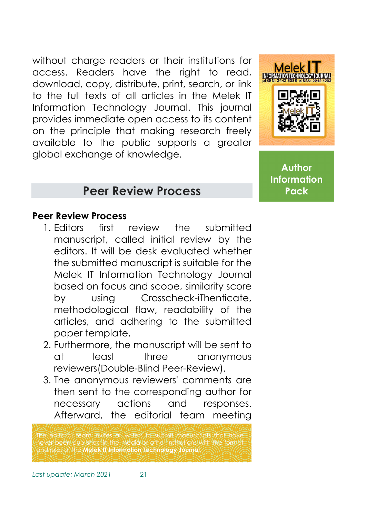without charge readers or their institutions for access. Readers have the right to read, download, copy, distribute, print, search, or link to the full texts of all articles in the Melek IT Information Technology Journal. This journal provides immediate open access to its content on the principle that making research freely available to the public supports a greater global exchange of knowledge.



**Author Information Pack**

# **Peer Review Process**

#### **Peer Review Process**

- 1. Editors first review the submitted manuscript, called initial review by the editors. It will be desk evaluated whether the submitted manuscript is suitable for the Melek IT Information Technology Journal based on focus and scope, similarity score by using Crosscheck-iThenticate, methodological flaw, readability of the articles, and adhering to the submitted paper template.
- 2. Furthermore, the manuscript will be sent to at least three anonymous reviewers(Double-Blind Peer-Review).
- 3. The anonymous reviewers' comments are then sent to the corresponding author for necessary actions and responses. Afterward, the editorial team meeting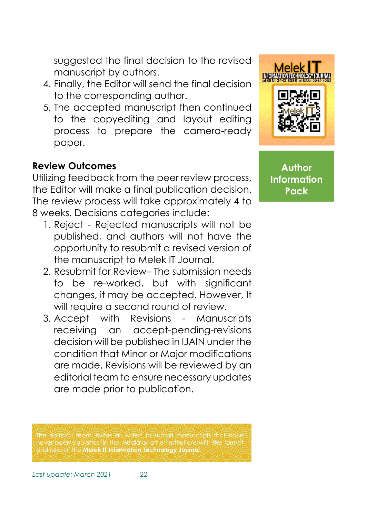suggested the final decision to the revised manuscript by authors.

- 4. Finally, the Editor will send the final decision to the corresponding author.
- 5. The accepted manuscript then continued to the copyediting and layout editing process to prepare the camera-ready paper.

# **Review Outcomes**

Utilizing feedback from the peer review process, the Editor will make a final publication decision. The review process will take approximately 4 to 8 weeks. Decisions categories include:

- 1. Reject Rejected manuscripts will not be published, and authors will not have the opportunity to resubmit a revised version of the manuscript to Melek IT Journal.
- 2. Resubmit for Review– The submission needs to be re-worked, but with significant changes, it may be accepted. However, It will require a second round of review.
- 3. Accept with Revisions Manuscripts receiving an accept-pending-revisions decision will be published in IJAIN under the condition that Minor or Major modifications are made. Revisions will be reviewed by an editorial team to ensure necessary updates are made prior to publication.

he editorial team invites all writers to submit manuscripts that have never been published in the media or other institutions with the format and rules of the **Melek IT Information Technology Journal**.

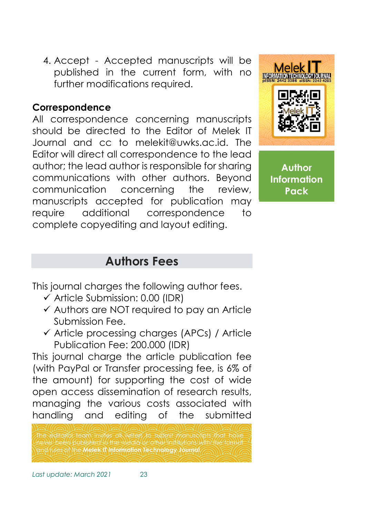4. Accept - Accepted manuscripts will be published in the current form, with no further modifications required.

# **Correspondence**

All correspondence concerning manuscripts should be directed to the Editor of Melek IT Journal and cc to melekit@uwks.ac.id. The Editor will direct all correspondence to the lead author; the lead author is responsible for sharing communications with other authors. Beyond communication concerning the review, manuscripts accepted for publication may require additional correspondence to complete copyediting and layout editing.



**Author Information Pack**

# **Authors Fees**

This journal charges the following author fees.

- $\checkmark$  Article Submission: 0.00 (IDR)
- $\checkmark$  Authors are NOT required to pay an Article Submission Fee.
- Article processing charges (APCs) / Article Publication Fee: 200.000 (IDR)

This journal charge the article publication fee (with PayPal or Transfer processing fee, is 6% of the amount) for supporting the cost of wide open access dissemination of research results, managing the various costs associated with handling and editing of the submitted